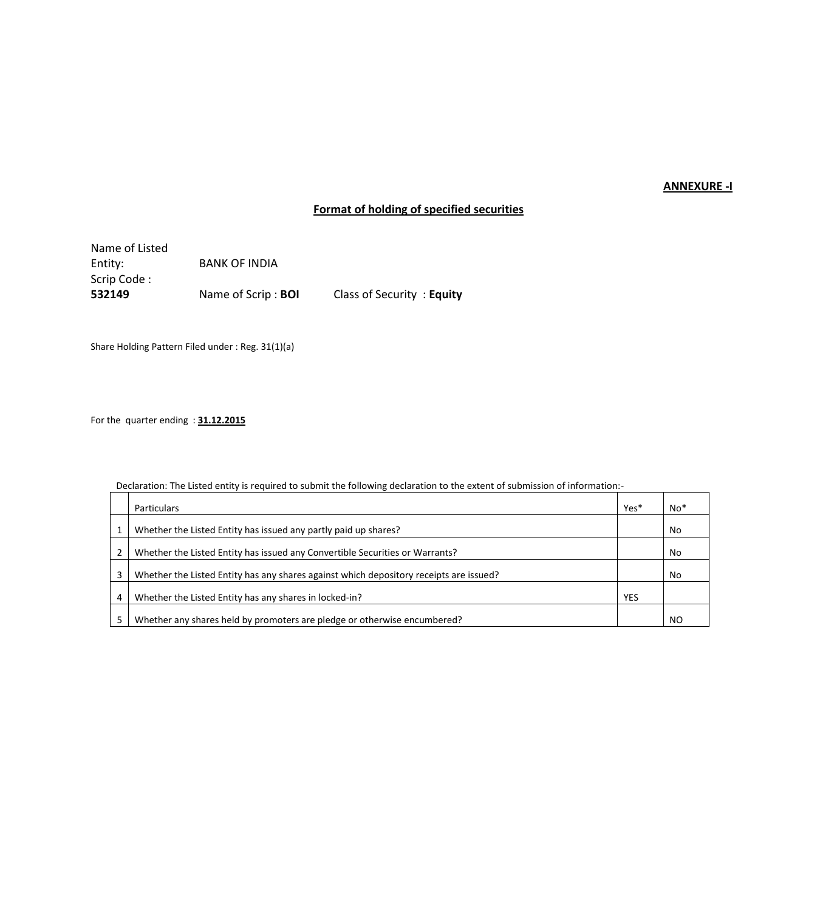## **ANNEXURE -I**

# **Format of holding of specified securities**

Name of Listed<br>Entity: **BANK OF INDIA** Scrip Code : **532149** Name of Scrip : **BOI** Class of Security : **Equity** 

Share Holding Pattern Filed under : Reg. 31(1)(a)

For the quarter ending : **31.12.2015**

Declaration: The Listed entity is required to submit the following declaration to the extent of submission of information:-

|   | <b>Particulars</b>                                                                     | Yes* | $No*$ |
|---|----------------------------------------------------------------------------------------|------|-------|
|   | Whether the Listed Entity has issued any partly paid up shares?                        |      | No    |
| 2 | Whether the Listed Entity has issued any Convertible Securities or Warrants?           |      | No    |
| 3 | Whether the Listed Entity has any shares against which depository receipts are issued? |      | No    |
| 4 | Whether the Listed Entity has any shares in locked-in?                                 | YES  |       |
| 5 | Whether any shares held by promoters are pledge or otherwise encumbered?               |      | NO    |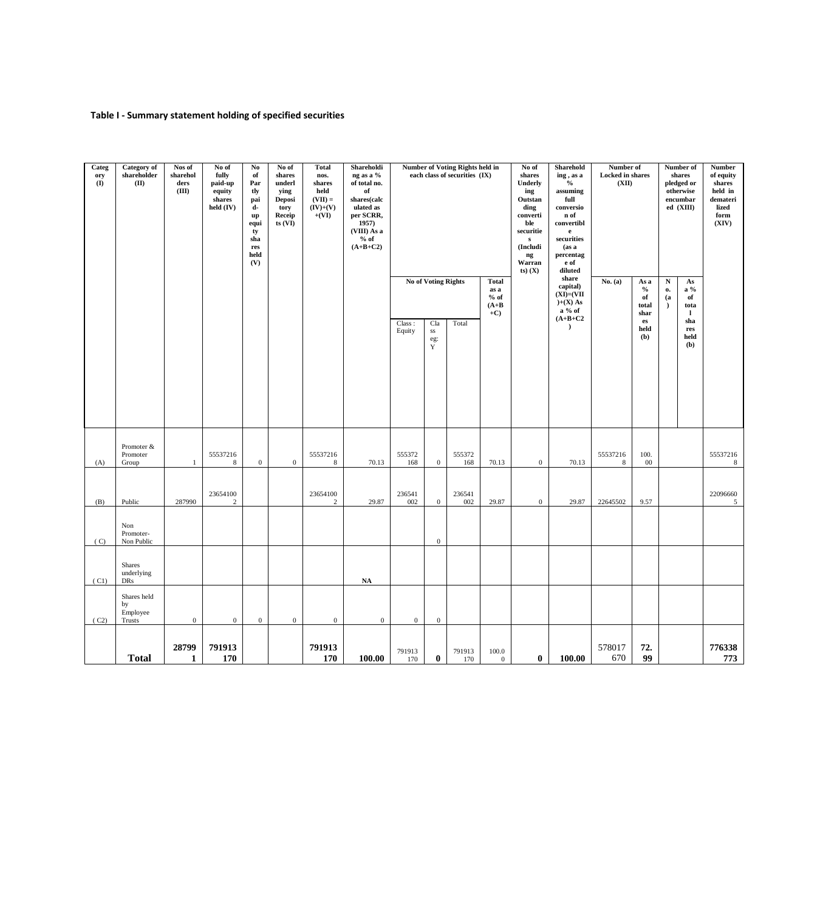### **Table I - Summary statement holding of specified securities**

|                       | (C2)                                    | (C1)                        | (C)                            | (B)                        | (A)                             |                                          | Categ<br>ory<br>$\mathbf{I}$                                                                                                                                                                                                |
|-----------------------|-----------------------------------------|-----------------------------|--------------------------------|----------------------------|---------------------------------|------------------------------------------|-----------------------------------------------------------------------------------------------------------------------------------------------------------------------------------------------------------------------------|
| <b>Total</b>          | Shares held<br>by<br>Employee<br>Trusts | Shares<br>underlying<br>DRs | Non<br>Promoter-<br>Non Public | Public                     | Promoter &<br>Promoter<br>Group |                                          | Category of<br>${\bf shareholder}$<br>(II)                                                                                                                                                                                  |
| 28799<br>$\mathbf{1}$ | $\bf{0}$                                |                             |                                | 287990                     | $\mathbf{1}$                    |                                          | Nos of<br>sharehol<br>ders<br>(III)                                                                                                                                                                                         |
| 791913<br>170         | $\boldsymbol{0}$                        |                             |                                | 23654100<br>$\sqrt{2}$     | 55537216<br>8                   |                                          | No of<br>fully<br>paid-up<br>equity<br>shares<br>held (IV)                                                                                                                                                                  |
|                       | $\boldsymbol{0}$                        |                             |                                |                            | $\mathbf{0}$                    |                                          | $\mathbf{N}\mathbf{o}$<br>of<br>Par<br>tly<br>pai<br>d-<br>up<br>equi<br>ty<br>sha<br>res<br>held<br>(V)                                                                                                                    |
|                       | $\boldsymbol{0}$                        |                             |                                |                            | $\mathbf{0}$                    |                                          | No of<br>shares<br>underl<br>ying<br>Deposi<br>tory<br>Receip<br>$ts$ $(VI)$                                                                                                                                                |
| 791913<br>170         | $\boldsymbol{0}$                        |                             |                                | 23654100<br>$\overline{c}$ | 55537216<br>8                   |                                          | <b>Total</b><br>nos.<br>shares<br>held<br>$(VII) =$<br>$(IV)+(V)$<br>$+(VI)$                                                                                                                                                |
| 100.00                | $\boldsymbol{0}$                        | NA                          |                                | 29.87                      | 70.13                           |                                          | Shareholdi<br>ng as a %<br>of total no.<br>of<br>shares(calc<br>ulated as<br>per SCRR,<br>1957)<br>(VIII) As a<br>$%$ of<br>$(A+B+C2)$                                                                                      |
| 791913<br>170         | $\boldsymbol{0}$                        |                             |                                | 236541<br>002              | 555372<br>168                   | Class:<br>Equity                         |                                                                                                                                                                                                                             |
| $\bf{0}$              | $\boldsymbol{0}$                        |                             | $\boldsymbol{0}$               | $\boldsymbol{0}$           | $\mathbf{0}$                    | Cla<br>$_{\rm SS}$<br>eg:<br>$\mathbf Y$ | No of Voting Rights                                                                                                                                                                                                         |
| 791913<br>170         |                                         |                             |                                | 236541<br>002              | 555372<br>168                   | Total                                    | <b>Number of Voting Rights held in</b><br>each class of securities (IX)                                                                                                                                                     |
| 100.0<br>$\mathbf{0}$ |                                         |                             |                                | 29.87                      | 70.13                           |                                          | <b>Total</b><br>as a<br>$%$ of<br>$(A+B)$<br>$+C$                                                                                                                                                                           |
| $\bf{0}$              |                                         |                             |                                | $\boldsymbol{0}$           | $\mathbf{0}$                    |                                          | No of<br>shares<br>Underly<br>ing<br>Outstan<br>ding<br>converti<br>ble<br>securitie<br>$\mathbf{s}$<br>(Includi<br>ng<br>Warran<br>$(s)$ $(X)$                                                                             |
| 100.00                |                                         |                             |                                | 29.87                      | 70.13                           | $(A+B+C2$<br>$\lambda$                   | Sharehold<br>ing, as a<br>$\%$<br>assuming<br>full<br>conversio<br>n of<br>convertibl<br>$\mathbf{e}$<br>securities<br>(as a<br>percentag<br>e of<br>diluted<br>share<br>capital)<br>$(XI) = (VII)$<br>$)+(X) As$<br>a % of |
| 578017<br>670         |                                         |                             |                                | 22645502                   | 55537216<br>8                   |                                          | Number of<br><b>Locked</b> in shares<br>(XII)<br>No. (a)                                                                                                                                                                    |
| 72.<br>99             |                                         |                             |                                | 9.57                       | 100.<br>00                      | $\mathbf{e}\mathbf{s}$<br>held<br>(b)    | As a<br>$\%$<br>of<br>total<br>shar                                                                                                                                                                                         |
|                       |                                         |                             |                                |                            |                                 |                                          | $\mathbf N$<br>о.<br>(a)<br>$\lambda$                                                                                                                                                                                       |
|                       |                                         |                             |                                |                            |                                 | sha<br>res<br>held<br>(b)                | Number of<br>shares<br>pledged or<br>otherwise<br>encumbar<br>ed (XIII)<br>As<br>$a\%$<br>of<br>tota<br>-1                                                                                                                  |
| 776338<br>773         |                                         |                             |                                | 22096660<br>5 <sup>5</sup> | 55537216<br>8                   |                                          | <b>Number</b><br>of equity<br>shares<br>held in<br>${\bf demateri}$<br>lized<br>form<br>(XIV)                                                                                                                               |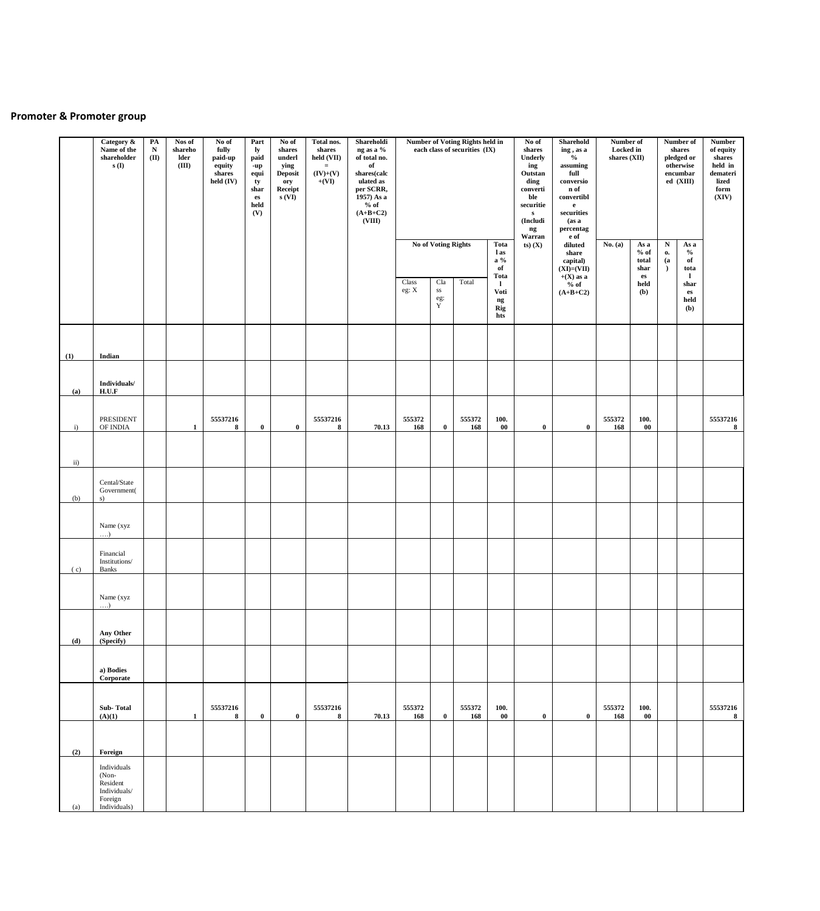## **Promoter & Promoter group**

|     | Category &<br>Name of the<br>shareholder<br>s(I)                            | PA<br>${\bf N}$<br>(II) | Nos of<br>shareho<br>lder<br>(III) | No of<br>fully<br>paid-up<br>equity<br>shares<br>held (IV) | Part<br>ly<br>paid<br>-up<br>equi<br>ty<br>shar<br>${\bf e}{\bf s}$<br>held<br>(V) | No of<br>shares<br>underl<br>ying<br><b>Deposit</b><br>ory<br>Receipt<br>s(VI) | Total nos.<br>shares<br>held (VII)<br>$=$ $\,$<br>$(IV)+(V)$<br>$+(VI)$ | Shareholdi<br>ng as a %<br>of total no.<br>of<br>shares(calc<br>ulated as<br>per SCRR,<br>1957) As a<br>$%$ of<br>$(A+B+C2)$<br>(VIII) |                | No of Voting Rights            | Number of Voting Rights held in<br>each class of securities (IX) | Tota<br>l as<br>$a\%$                                                      | No of<br>shares<br>Underly<br>ing<br>Outstan<br>ding<br>converti<br>ble<br>securitie<br>${\bf s}$<br>(Includi<br>ng<br>Warran<br>$(s)$ $(X)$ | Sharehold<br>ing, as a<br>$\%$<br>assuming<br>full<br>conversio<br>n of<br>convertibl<br>$\mathbf{e}$<br>securities<br>(as a)<br>percentag<br>e of<br>diluted<br>share<br>capital) | Number of<br>Locked in<br>shares (XII)<br>No. (a) | As a<br>$%$ of<br>total                       | ${\bf N}$<br>0.<br>(a) | Number of<br>shares<br>pledged or<br>otherwise<br>encumbar<br>ed (XIII)<br>As a<br>$\%$<br>of | <b>Number</b><br>of equity<br>shares<br>held in<br>demateri<br>lized<br>form<br>(XIV) |
|-----|-----------------------------------------------------------------------------|-------------------------|------------------------------------|------------------------------------------------------------|------------------------------------------------------------------------------------|--------------------------------------------------------------------------------|-------------------------------------------------------------------------|----------------------------------------------------------------------------------------------------------------------------------------|----------------|--------------------------------|------------------------------------------------------------------|----------------------------------------------------------------------------|----------------------------------------------------------------------------------------------------------------------------------------------|------------------------------------------------------------------------------------------------------------------------------------------------------------------------------------|---------------------------------------------------|-----------------------------------------------|------------------------|-----------------------------------------------------------------------------------------------|---------------------------------------------------------------------------------------|
|     |                                                                             |                         |                                    |                                                            |                                                                                    |                                                                                |                                                                         |                                                                                                                                        | Class<br>eg: X | Cla<br>$_{\rm SS}$<br>eg:<br>Y | Total                                                            | of<br>Tota<br>$\mathbf{I}$<br>Voti<br>$\mathbf{n}\mathbf{g}$<br>Rig<br>hts |                                                                                                                                              | $(XI)=(VII)$<br>$+(X)$ as a<br>$%$ of<br>$(A+B+C2)$                                                                                                                                |                                                   | shar<br>$\mathbf{e}\mathbf{s}$<br>held<br>(b) | $\rightarrow$          | tota<br>-1<br>shar<br>${\bf e}{\bf s}$<br>held<br>(b)                                         |                                                                                       |
| (1) | Indian                                                                      |                         |                                    |                                                            |                                                                                    |                                                                                |                                                                         |                                                                                                                                        |                |                                |                                                                  |                                                                            |                                                                                                                                              |                                                                                                                                                                                    |                                                   |                                               |                        |                                                                                               |                                                                                       |
| (a) | Individuals/<br>H.U.F                                                       |                         |                                    |                                                            |                                                                                    |                                                                                |                                                                         |                                                                                                                                        |                |                                |                                                                  |                                                                            |                                                                                                                                              |                                                                                                                                                                                    |                                                   |                                               |                        |                                                                                               |                                                                                       |
| i)  | PRESIDENT<br>OF INDIA                                                       |                         | $\mathbf{1}$                       | 55537216<br>8                                              | $\bf{0}$                                                                           | $\bf{0}$                                                                       | 55537216<br>8                                                           | 70.13                                                                                                                                  | 555372<br>168  | $\bf{0}$                       | 555372<br>168                                                    | 100.<br>$\bf{00}$                                                          | $\bf{0}$                                                                                                                                     | $\bf{0}$                                                                                                                                                                           | 555372<br>168                                     | 100.<br>$\bf{00}$                             |                        |                                                                                               | 55537216<br>$\bf 8$                                                                   |
| ii) |                                                                             |                         |                                    |                                                            |                                                                                    |                                                                                |                                                                         |                                                                                                                                        |                |                                |                                                                  |                                                                            |                                                                                                                                              |                                                                                                                                                                                    |                                                   |                                               |                        |                                                                                               |                                                                                       |
| (b) | Cental/State<br>Government(<br>s)                                           |                         |                                    |                                                            |                                                                                    |                                                                                |                                                                         |                                                                                                                                        |                |                                |                                                                  |                                                                            |                                                                                                                                              |                                                                                                                                                                                    |                                                   |                                               |                        |                                                                                               |                                                                                       |
|     | Name (xyz<br>$\dots$                                                        |                         |                                    |                                                            |                                                                                    |                                                                                |                                                                         |                                                                                                                                        |                |                                |                                                                  |                                                                            |                                                                                                                                              |                                                                                                                                                                                    |                                                   |                                               |                        |                                                                                               |                                                                                       |
| (c) | Financial<br>Institutions/<br>Banks                                         |                         |                                    |                                                            |                                                                                    |                                                                                |                                                                         |                                                                                                                                        |                |                                |                                                                  |                                                                            |                                                                                                                                              |                                                                                                                                                                                    |                                                   |                                               |                        |                                                                                               |                                                                                       |
|     | Name (xyz<br>$\dots$                                                        |                         |                                    |                                                            |                                                                                    |                                                                                |                                                                         |                                                                                                                                        |                |                                |                                                                  |                                                                            |                                                                                                                                              |                                                                                                                                                                                    |                                                   |                                               |                        |                                                                                               |                                                                                       |
| (d) | Any Other<br>(Specify)                                                      |                         |                                    |                                                            |                                                                                    |                                                                                |                                                                         |                                                                                                                                        |                |                                |                                                                  |                                                                            |                                                                                                                                              |                                                                                                                                                                                    |                                                   |                                               |                        |                                                                                               |                                                                                       |
|     | a) Bodies<br>Corporate                                                      |                         |                                    |                                                            |                                                                                    |                                                                                |                                                                         |                                                                                                                                        |                |                                |                                                                  |                                                                            |                                                                                                                                              |                                                                                                                                                                                    |                                                   |                                               |                        |                                                                                               |                                                                                       |
|     | Sub-Total<br>(A)(1)                                                         |                         | $\mathbf{1}$                       | 55537216<br>8                                              | $\bf{0}$                                                                           | $\bf{0}$                                                                       | 55537216<br>8                                                           | 70.13                                                                                                                                  | 555372<br>168  | $\bf{0}$                       | 555372<br>168                                                    | 100.<br>$00\,$                                                             | $\bf{0}$                                                                                                                                     | $\bf{0}$                                                                                                                                                                           | 555372<br>168                                     | 100.<br>$00\,$                                |                        |                                                                                               | 55537216<br>8                                                                         |
| (2) | Foreign                                                                     |                         |                                    |                                                            |                                                                                    |                                                                                |                                                                         |                                                                                                                                        |                |                                |                                                                  |                                                                            |                                                                                                                                              |                                                                                                                                                                                    |                                                   |                                               |                        |                                                                                               |                                                                                       |
| (a) | Individuals<br>(Non-<br>Resident<br>Individuals/<br>Foreign<br>Individuals) |                         |                                    |                                                            |                                                                                    |                                                                                |                                                                         |                                                                                                                                        |                |                                |                                                                  |                                                                            |                                                                                                                                              |                                                                                                                                                                                    |                                                   |                                               |                        |                                                                                               |                                                                                       |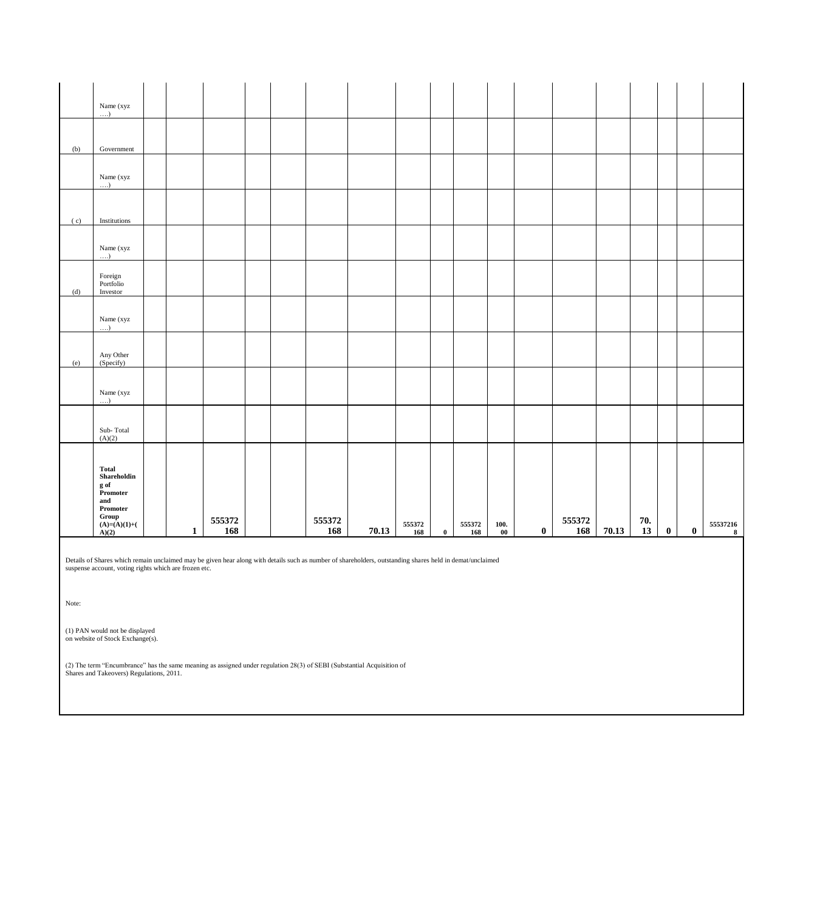|     | Name (xyz<br>)                                                                                       |              |               |  |               |       |               |              |               |                   |          |               |       |           |          |          |                              |
|-----|------------------------------------------------------------------------------------------------------|--------------|---------------|--|---------------|-------|---------------|--------------|---------------|-------------------|----------|---------------|-------|-----------|----------|----------|------------------------------|
|     |                                                                                                      |              |               |  |               |       |               |              |               |                   |          |               |       |           |          |          |                              |
| (b) | Government                                                                                           |              |               |  |               |       |               |              |               |                   |          |               |       |           |          |          |                              |
|     | Name (xyz<br>$\dots$                                                                                 |              |               |  |               |       |               |              |               |                   |          |               |       |           |          |          |                              |
| (c) | Institutions                                                                                         |              |               |  |               |       |               |              |               |                   |          |               |       |           |          |          |                              |
|     | Name (xyz<br>$\dots$                                                                                 |              |               |  |               |       |               |              |               |                   |          |               |       |           |          |          |                              |
| (d) | $\mbox{Foreign}$<br>Portfolio<br>Investor                                                            |              |               |  |               |       |               |              |               |                   |          |               |       |           |          |          |                              |
|     | Name (xyz<br>$\dots$                                                                                 |              |               |  |               |       |               |              |               |                   |          |               |       |           |          |          |                              |
| (e) | Any Other<br>(Specify)                                                                               |              |               |  |               |       |               |              |               |                   |          |               |       |           |          |          |                              |
|     | Name (xyz<br>$\dots$                                                                                 |              |               |  |               |       |               |              |               |                   |          |               |       |           |          |          |                              |
|     | Sub-Total<br>(A)(2)                                                                                  |              |               |  |               |       |               |              |               |                   |          |               |       |           |          |          |                              |
|     | <b>Total</b><br>Shareholdin<br>g of<br>Promoter<br>and<br>Promoter<br>Group<br>(A)=(A)(1)+(<br>A)(2) | $\mathbf{1}$ | 555372<br>168 |  | 555372<br>168 | 70.13 | 555372<br>168 | $\mathbf{0}$ | 555372<br>168 | 100.<br>$\bf{00}$ | $\bf{0}$ | 555372<br>168 | 70.13 | 70.<br>13 | $\bf{0}$ | $\bf{0}$ | 55537216<br>$\boldsymbol{8}$ |

Details of Shares which remain unclaimed may be given hear along with details such as number of shareholders, outstanding shares held in demat/unclaimed suspense account, voting rights which are frozen etc.

Note:

(1) PAN would not be displayed on website of Stock Exchange(s).

(2) The term "Encumbrance" has the same meaning as assigned under regulation 28(3) of SEBI (Substantial Acquisition of Shares and Takeovers) Regulations, 2011.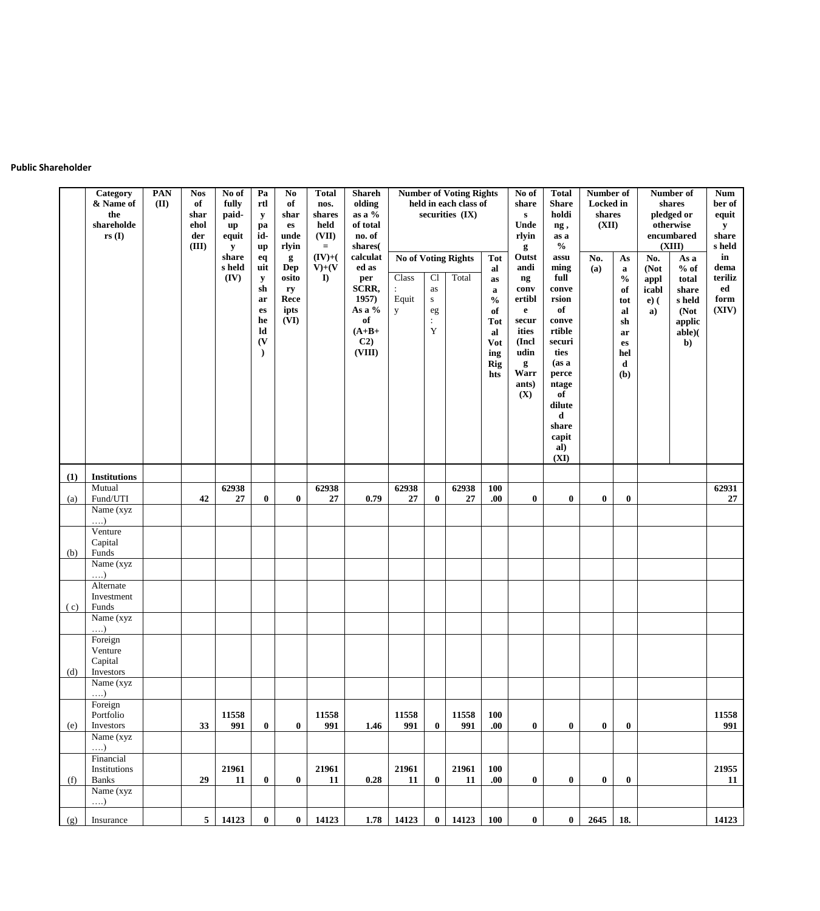#### **Public Shareholder**

|     | Category<br>& Name of<br>the<br>shareholde<br>$rs($ I | PAN<br>(II) | <b>Nos</b><br>of<br>shar<br>ehol<br>der<br>(III) | No of<br>fully<br>paid-<br>up<br>equit<br>y<br>share<br>s held<br>(IV) | Pa<br>rtl<br>${\bf y}$<br>pa<br>id-<br>$\mathbf{u}\mathbf{p}$<br>eq<br>uit<br>$\mathbf y$<br>sh<br>ar<br>$\mathbf{e}\mathbf{s}$<br>he<br>ld<br>$\mathbf{V}$<br>$\lambda$ | N <sub>0</sub><br>of<br>shar<br>$\mathbf{e}\mathbf{s}$<br>unde<br>rlyin<br>g<br>Dep<br>osito<br>ry<br>Rece<br>ipts<br>(VI) | <b>Total</b><br>nos.<br>shares<br>held<br>(VII)<br>$\equiv$<br>$(IV)+($<br>$V)+ (V$<br>$\bf{D}$ | <b>Shareh</b><br>olding<br>as a $\%$<br>of total<br>no. of<br>shares(<br>calculat<br>ed as<br>per<br>SCRR,<br>1957)<br>As a $\%$<br>of<br>$(A+B+$<br>C <sub>2</sub><br>(VIII) | <b>No of Voting Rights</b><br>Class<br>$\ddot{\cdot}$<br>Equit<br>y | Cl<br>as<br>${\bf S}$<br>$\rm eg$<br>$\ddot{\cdot}$<br>$\mathbf Y$ | <b>Number of Voting Rights</b><br>held in each class of<br>securities (IX)<br>Total | <b>Tot</b><br>al<br>as<br>$\mathbf a$<br>$\frac{0}{0}$<br>of<br>Tot<br>al<br>Vot<br>ing<br><b>Rig</b><br>hts | No of<br>share<br>${\bf S}$<br>Unde<br>rlyin<br>g<br>Outst<br>andi<br>ng<br>conv<br>ertibl<br>$\mathbf{e}$<br>secur<br>ities<br>(Incl.<br>udin<br>g<br>Warr<br>ants)<br>(X) | <b>Total</b><br><b>Share</b><br>holdi<br>ng,<br>as a<br>$\frac{0}{0}$<br>assu<br>ming<br>full<br>conve<br>rsion<br>of<br>conve<br>rtible<br>securi<br>ties<br>(as a)<br>perce<br>ntage<br>of<br>dilute<br>d<br>share<br>capit<br>al)<br>(XI) | Number of<br><b>Locked</b> in<br>shares<br>(XII)<br>No.<br>(a) | As<br>$\mathbf a$<br>$\mathbf{0}_{\mathbf{0}}^{\prime}$<br>of<br>tot<br>al<br>sh<br>ar<br>es<br>hel<br>d<br>(b) | No.<br>(Not<br>appl<br>icabl<br>$e)$ (<br>a) | Number of<br>shares<br>pledged or<br>otherwise<br>encumbared<br>(XIII)<br>As a<br>$%$ of<br>total<br>share<br>s held<br>(Not<br>applic<br>able)(<br>$\mathbf{b}$ | <b>Num</b><br>ber of<br>equit<br>${\bf y}$<br>share<br>s held<br>in<br>dema<br>teriliz<br>ed<br>form<br>(XIV) |
|-----|-------------------------------------------------------|-------------|--------------------------------------------------|------------------------------------------------------------------------|--------------------------------------------------------------------------------------------------------------------------------------------------------------------------|----------------------------------------------------------------------------------------------------------------------------|-------------------------------------------------------------------------------------------------|-------------------------------------------------------------------------------------------------------------------------------------------------------------------------------|---------------------------------------------------------------------|--------------------------------------------------------------------|-------------------------------------------------------------------------------------|--------------------------------------------------------------------------------------------------------------|-----------------------------------------------------------------------------------------------------------------------------------------------------------------------------|----------------------------------------------------------------------------------------------------------------------------------------------------------------------------------------------------------------------------------------------|----------------------------------------------------------------|-----------------------------------------------------------------------------------------------------------------|----------------------------------------------|------------------------------------------------------------------------------------------------------------------------------------------------------------------|---------------------------------------------------------------------------------------------------------------|
| (1) | <b>Institutions</b>                                   |             |                                                  |                                                                        |                                                                                                                                                                          |                                                                                                                            | 62938                                                                                           |                                                                                                                                                                               | 62938                                                               |                                                                    |                                                                                     |                                                                                                              |                                                                                                                                                                             |                                                                                                                                                                                                                                              |                                                                |                                                                                                                 |                                              |                                                                                                                                                                  | 62931                                                                                                         |
| (a) | Mutual<br>Fund/UTI                                    |             | 42                                               | 62938<br>27                                                            | $\bf{0}$                                                                                                                                                                 | $\bf{0}$                                                                                                                   | 27                                                                                              | 0.79                                                                                                                                                                          | 27                                                                  | $\bf{0}$                                                           | 62938<br>27                                                                         | <b>100</b><br>.00.                                                                                           | $\bf{0}$                                                                                                                                                                    | $\bf{0}$                                                                                                                                                                                                                                     | $\bf{0}$                                                       | $\bf{0}$                                                                                                        |                                              |                                                                                                                                                                  | 27                                                                                                            |
|     | Name (xyz                                             |             |                                                  |                                                                        |                                                                                                                                                                          |                                                                                                                            |                                                                                                 |                                                                                                                                                                               |                                                                     |                                                                    |                                                                                     |                                                                                                              |                                                                                                                                                                             |                                                                                                                                                                                                                                              |                                                                |                                                                                                                 |                                              |                                                                                                                                                                  |                                                                                                               |
|     | $\ldots$<br>Venture                                   |             |                                                  |                                                                        |                                                                                                                                                                          |                                                                                                                            |                                                                                                 |                                                                                                                                                                               |                                                                     |                                                                    |                                                                                     |                                                                                                              |                                                                                                                                                                             |                                                                                                                                                                                                                                              |                                                                |                                                                                                                 |                                              |                                                                                                                                                                  |                                                                                                               |
|     | Capital                                               |             |                                                  |                                                                        |                                                                                                                                                                          |                                                                                                                            |                                                                                                 |                                                                                                                                                                               |                                                                     |                                                                    |                                                                                     |                                                                                                              |                                                                                                                                                                             |                                                                                                                                                                                                                                              |                                                                |                                                                                                                 |                                              |                                                                                                                                                                  |                                                                                                               |
| (b) | Funds                                                 |             |                                                  |                                                                        |                                                                                                                                                                          |                                                                                                                            |                                                                                                 |                                                                                                                                                                               |                                                                     |                                                                    |                                                                                     |                                                                                                              |                                                                                                                                                                             |                                                                                                                                                                                                                                              |                                                                |                                                                                                                 |                                              |                                                                                                                                                                  |                                                                                                               |
|     | Name (xyz<br>$\ldots$                                 |             |                                                  |                                                                        |                                                                                                                                                                          |                                                                                                                            |                                                                                                 |                                                                                                                                                                               |                                                                     |                                                                    |                                                                                     |                                                                                                              |                                                                                                                                                                             |                                                                                                                                                                                                                                              |                                                                |                                                                                                                 |                                              |                                                                                                                                                                  |                                                                                                               |
|     | Alternate                                             |             |                                                  |                                                                        |                                                                                                                                                                          |                                                                                                                            |                                                                                                 |                                                                                                                                                                               |                                                                     |                                                                    |                                                                                     |                                                                                                              |                                                                                                                                                                             |                                                                                                                                                                                                                                              |                                                                |                                                                                                                 |                                              |                                                                                                                                                                  |                                                                                                               |
|     | Investment                                            |             |                                                  |                                                                        |                                                                                                                                                                          |                                                                                                                            |                                                                                                 |                                                                                                                                                                               |                                                                     |                                                                    |                                                                                     |                                                                                                              |                                                                                                                                                                             |                                                                                                                                                                                                                                              |                                                                |                                                                                                                 |                                              |                                                                                                                                                                  |                                                                                                               |
| (c) | Funds<br>Name (xyz                                    |             |                                                  |                                                                        |                                                                                                                                                                          |                                                                                                                            |                                                                                                 |                                                                                                                                                                               |                                                                     |                                                                    |                                                                                     |                                                                                                              |                                                                                                                                                                             |                                                                                                                                                                                                                                              |                                                                |                                                                                                                 |                                              |                                                                                                                                                                  |                                                                                                               |
|     | $\ldots$                                              |             |                                                  |                                                                        |                                                                                                                                                                          |                                                                                                                            |                                                                                                 |                                                                                                                                                                               |                                                                     |                                                                    |                                                                                     |                                                                                                              |                                                                                                                                                                             |                                                                                                                                                                                                                                              |                                                                |                                                                                                                 |                                              |                                                                                                                                                                  |                                                                                                               |
|     | Foreign                                               |             |                                                  |                                                                        |                                                                                                                                                                          |                                                                                                                            |                                                                                                 |                                                                                                                                                                               |                                                                     |                                                                    |                                                                                     |                                                                                                              |                                                                                                                                                                             |                                                                                                                                                                                                                                              |                                                                |                                                                                                                 |                                              |                                                                                                                                                                  |                                                                                                               |
|     | Venture<br>Capital                                    |             |                                                  |                                                                        |                                                                                                                                                                          |                                                                                                                            |                                                                                                 |                                                                                                                                                                               |                                                                     |                                                                    |                                                                                     |                                                                                                              |                                                                                                                                                                             |                                                                                                                                                                                                                                              |                                                                |                                                                                                                 |                                              |                                                                                                                                                                  |                                                                                                               |
| (d) | Investors                                             |             |                                                  |                                                                        |                                                                                                                                                                          |                                                                                                                            |                                                                                                 |                                                                                                                                                                               |                                                                     |                                                                    |                                                                                     |                                                                                                              |                                                                                                                                                                             |                                                                                                                                                                                                                                              |                                                                |                                                                                                                 |                                              |                                                                                                                                                                  |                                                                                                               |
|     | Name (xyz                                             |             |                                                  |                                                                        |                                                                                                                                                                          |                                                                                                                            |                                                                                                 |                                                                                                                                                                               |                                                                     |                                                                    |                                                                                     |                                                                                                              |                                                                                                                                                                             |                                                                                                                                                                                                                                              |                                                                |                                                                                                                 |                                              |                                                                                                                                                                  |                                                                                                               |
|     | $\ldots$<br>Foreign                                   |             |                                                  |                                                                        |                                                                                                                                                                          |                                                                                                                            |                                                                                                 |                                                                                                                                                                               |                                                                     |                                                                    |                                                                                     |                                                                                                              |                                                                                                                                                                             |                                                                                                                                                                                                                                              |                                                                |                                                                                                                 |                                              |                                                                                                                                                                  |                                                                                                               |
|     | Portfolio                                             |             |                                                  | 11558                                                                  |                                                                                                                                                                          |                                                                                                                            | 11558                                                                                           |                                                                                                                                                                               | 11558                                                               |                                                                    | 11558                                                                               | 100                                                                                                          |                                                                                                                                                                             |                                                                                                                                                                                                                                              |                                                                |                                                                                                                 |                                              |                                                                                                                                                                  | 11558                                                                                                         |
| (e) | Investors<br>Name (xyz)                               |             | 33                                               | 991                                                                    | $\bf{0}$                                                                                                                                                                 | $\bf{0}$                                                                                                                   | 991                                                                                             | 1.46                                                                                                                                                                          | 991                                                                 | $\bf{0}$                                                           | 991                                                                                 | .00.                                                                                                         | $\pmb{0}$                                                                                                                                                                   | $\bf{0}$                                                                                                                                                                                                                                     | $\bf{0}$                                                       | $\bf{0}$                                                                                                        |                                              |                                                                                                                                                                  | 991                                                                                                           |
|     | $\ldots$                                              |             |                                                  |                                                                        |                                                                                                                                                                          |                                                                                                                            |                                                                                                 |                                                                                                                                                                               |                                                                     |                                                                    |                                                                                     |                                                                                                              |                                                                                                                                                                             |                                                                                                                                                                                                                                              |                                                                |                                                                                                                 |                                              |                                                                                                                                                                  |                                                                                                               |
|     | Financial                                             |             |                                                  |                                                                        |                                                                                                                                                                          |                                                                                                                            |                                                                                                 |                                                                                                                                                                               |                                                                     |                                                                    |                                                                                     |                                                                                                              |                                                                                                                                                                             |                                                                                                                                                                                                                                              |                                                                |                                                                                                                 |                                              |                                                                                                                                                                  |                                                                                                               |
| (f) | Institutions<br>Banks                                 |             | 29                                               | 21961<br>11                                                            | $\bf{0}$                                                                                                                                                                 | $\bf{0}$                                                                                                                   | 21961<br>11                                                                                     | 0.28                                                                                                                                                                          | 21961<br>11                                                         | $\bf{0}$                                                           | 21961<br>11                                                                         | 100<br>.00.                                                                                                  | $\bf{0}$                                                                                                                                                                    | $\pmb{0}$                                                                                                                                                                                                                                    | $\bf{0}$                                                       | $\bf{0}$                                                                                                        |                                              |                                                                                                                                                                  | 21955<br>11                                                                                                   |
|     | $\overline{\text{Name}}$ (xyz)                        |             |                                                  |                                                                        |                                                                                                                                                                          |                                                                                                                            |                                                                                                 |                                                                                                                                                                               |                                                                     |                                                                    |                                                                                     |                                                                                                              |                                                                                                                                                                             |                                                                                                                                                                                                                                              |                                                                |                                                                                                                 |                                              |                                                                                                                                                                  |                                                                                                               |
|     | $\ldots$                                              |             |                                                  |                                                                        |                                                                                                                                                                          |                                                                                                                            |                                                                                                 |                                                                                                                                                                               |                                                                     |                                                                    |                                                                                     |                                                                                                              |                                                                                                                                                                             |                                                                                                                                                                                                                                              |                                                                |                                                                                                                 |                                              |                                                                                                                                                                  |                                                                                                               |
| (g) | Insurance                                             |             | 5 <sub>5</sub>                                   | 14123                                                                  | $\bf{0}$                                                                                                                                                                 | $\bf{0}$                                                                                                                   | 14123                                                                                           | 1.78                                                                                                                                                                          | 14123                                                               | $\bf{0}$                                                           | 14123                                                                               | <b>100</b>                                                                                                   | $\bf{0}$                                                                                                                                                                    | $\mathbf{0}$                                                                                                                                                                                                                                 | 2645                                                           | 18.                                                                                                             |                                              |                                                                                                                                                                  | 14123                                                                                                         |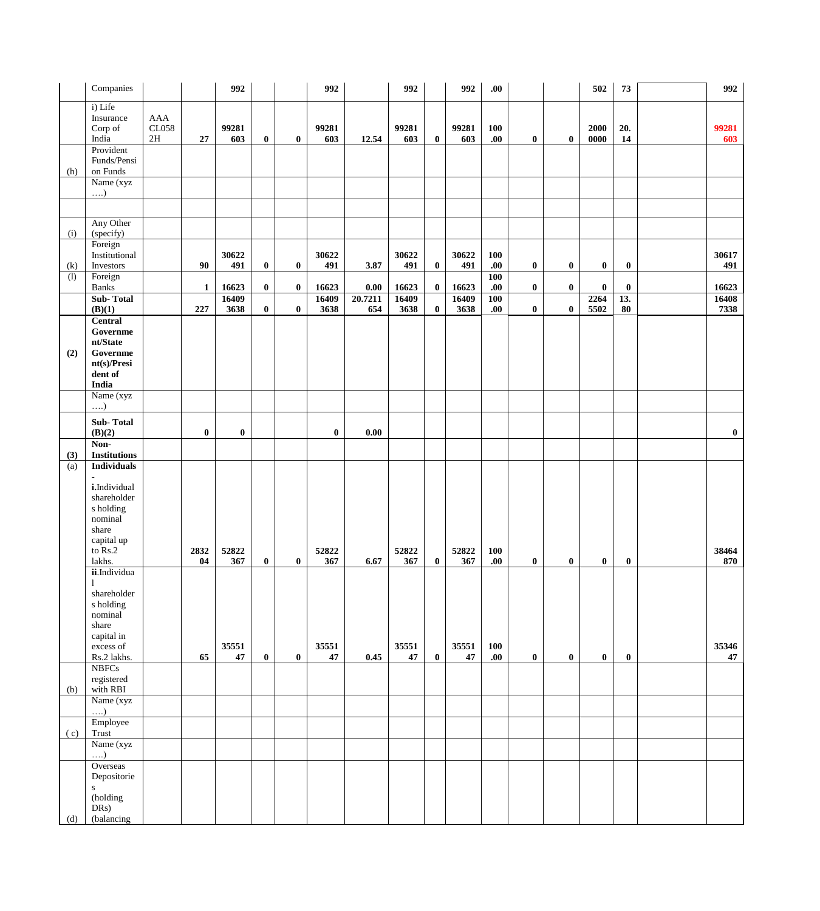|     | Companies                                                                                                                   |                               |              | 992           |             |          | 992           |                     | 992           |          | 992           | .00.                      |          |                  | 502          | 73                | 992           |
|-----|-----------------------------------------------------------------------------------------------------------------------------|-------------------------------|--------------|---------------|-------------|----------|---------------|---------------------|---------------|----------|---------------|---------------------------|----------|------------------|--------------|-------------------|---------------|
|     | i) Life<br>Insurance<br>Corp of<br>India                                                                                    | AAA<br>CL058<br>$2\mathrm{H}$ | 27           | 99281<br>603  | $\bf{0}$    | $\bf{0}$ | 99281<br>603  | 12.54               | 99281<br>603  | $\bf{0}$ | 99281<br>603  | <b>100</b><br>.00         | $\bf{0}$ | $\bf{0}$         | 2000<br>0000 | 20.<br>${\bf 14}$ | 99281<br>603  |
| (h) | Provident<br>Funds/Pensi<br>on Funds                                                                                        |                               |              |               |             |          |               |                     |               |          |               |                           |          |                  |              |                   |               |
|     | Name (xyz<br>$\ldots$                                                                                                       |                               |              |               |             |          |               |                     |               |          |               |                           |          |                  |              |                   |               |
|     |                                                                                                                             |                               |              |               |             |          |               |                     |               |          |               |                           |          |                  |              |                   |               |
|     | Any Other                                                                                                                   |                               |              |               |             |          |               |                     |               |          |               |                           |          |                  |              |                   |               |
| (i) | (specify)<br>Foreign                                                                                                        |                               |              |               |             |          |               |                     |               |          |               |                           |          |                  |              |                   |               |
| (k) | Institutional<br>Investors                                                                                                  |                               | 90           | 30622<br>491  | $\bf{0}$    | $\bf{0}$ | 30622<br>491  | 3.87                | 30622<br>491  | $\bf{0}$ | 30622<br>491  | 100<br>.00.               | $\bf{0}$ | $\boldsymbol{0}$ | $\bf{0}$     | $\bf{0}$          | 30617<br>491  |
| (1) | Foreign<br><b>Banks</b>                                                                                                     |                               | $\mathbf{1}$ | 16623         | $\bf{0}$    | $\bf{0}$ | 16623         | $\boldsymbol{0.00}$ | 16623         | $\bf{0}$ | 16623         | <b>100</b><br>${\bf .00}$ | $\bf{0}$ | $\bf{0}$         | $\bf{0}$     | $\bf{0}$          | 16623         |
|     | <b>Sub-Total</b><br>(B)(1)                                                                                                  |                               | 227          | 16409<br>3638 | $\bf{0}$    | $\bf{0}$ | 16409<br>3638 | 20.7211<br>654      | 16409<br>3638 | $\bf{0}$ | 16409<br>3638 | <b>100</b><br>.00.        | $\bf{0}$ | $\bf{0}$         | 2264<br>5502 | 13.<br>80         | 16408<br>7338 |
|     | <b>Central</b>                                                                                                              |                               |              |               |             |          |               |                     |               |          |               |                           |          |                  |              |                   |               |
|     | Governme<br>nt/State                                                                                                        |                               |              |               |             |          |               |                     |               |          |               |                           |          |                  |              |                   |               |
| (2) | Governme                                                                                                                    |                               |              |               |             |          |               |                     |               |          |               |                           |          |                  |              |                   |               |
|     | nt(s)/Presi<br>dent of                                                                                                      |                               |              |               |             |          |               |                     |               |          |               |                           |          |                  |              |                   |               |
|     | India                                                                                                                       |                               |              |               |             |          |               |                     |               |          |               |                           |          |                  |              |                   |               |
|     | Name $(xyz)$<br>$\ldots$                                                                                                    |                               |              |               |             |          |               |                     |               |          |               |                           |          |                  |              |                   |               |
|     | Sub-Total<br>(B)(2)                                                                                                         |                               | $\bf{0}$     | $\bf{0}$      |             |          | $\bf{0}$      | $0.00\,$            |               |          |               |                           |          |                  |              |                   | $\bf{0}$      |
| (3) | Non-<br><b>Institutions</b>                                                                                                 |                               |              |               |             |          |               |                     |               |          |               |                           |          |                  |              |                   |               |
| (a) | <b>Individuals</b>                                                                                                          |                               |              |               |             |          |               |                     |               |          |               |                           |          |                  |              |                   |               |
|     | $\overline{\phantom{a}}$<br>i.Individual<br>shareholder<br>s holding<br>nominal<br>share<br>capital up<br>to Rs.2<br>lakhs. |                               | 2832<br>04   | 52822<br>367  | $\mathbf 0$ | $\bf{0}$ | 52822<br>367  | 6.67                | 52822<br>367  | $\bf{0}$ | 52822<br>367  | 100<br>.00.               | $\bf{0}$ | $\bf{0}$         | $\bf{0}$     | $\bf{0}$          | 38464<br>870  |
|     | ii.Individua                                                                                                                |                               |              |               |             |          |               |                     |               |          |               |                           |          |                  |              |                   |               |
|     | 1<br>shareholder<br>s holding<br>nominal<br>share<br>capital in<br>excess of<br>Rs.2 lakhs.                                 |                               | 65           | 35551<br>47   | $\bf{0}$    | $\bf{0}$ | 35551<br>47   | 0.45                | 35551<br>47   | $\bf{0}$ | 35551<br>47   | <b>100</b><br>.00.        | $\bf{0}$ | $\bf{0}$         | $\bf{0}$     | $\bf{0}$          | 35346<br>47   |
|     | <b>NBFCs</b>                                                                                                                |                               |              |               |             |          |               |                     |               |          |               |                           |          |                  |              |                   |               |
| (b) | registered<br>with RBI                                                                                                      |                               |              |               |             |          |               |                     |               |          |               |                           |          |                  |              |                   |               |
|     | Name (xyz                                                                                                                   |                               |              |               |             |          |               |                     |               |          |               |                           |          |                  |              |                   |               |
| (c) | $\ldots$<br>Employee<br>Trust                                                                                               |                               |              |               |             |          |               |                     |               |          |               |                           |          |                  |              |                   |               |
|     | Name (xyz<br>$\ldots$                                                                                                       |                               |              |               |             |          |               |                     |               |          |               |                           |          |                  |              |                   |               |
| (d) | Overseas<br>Depositorie<br>${\bf S}$<br>(holding<br>DRs)<br>(balancing                                                      |                               |              |               |             |          |               |                     |               |          |               |                           |          |                  |              |                   |               |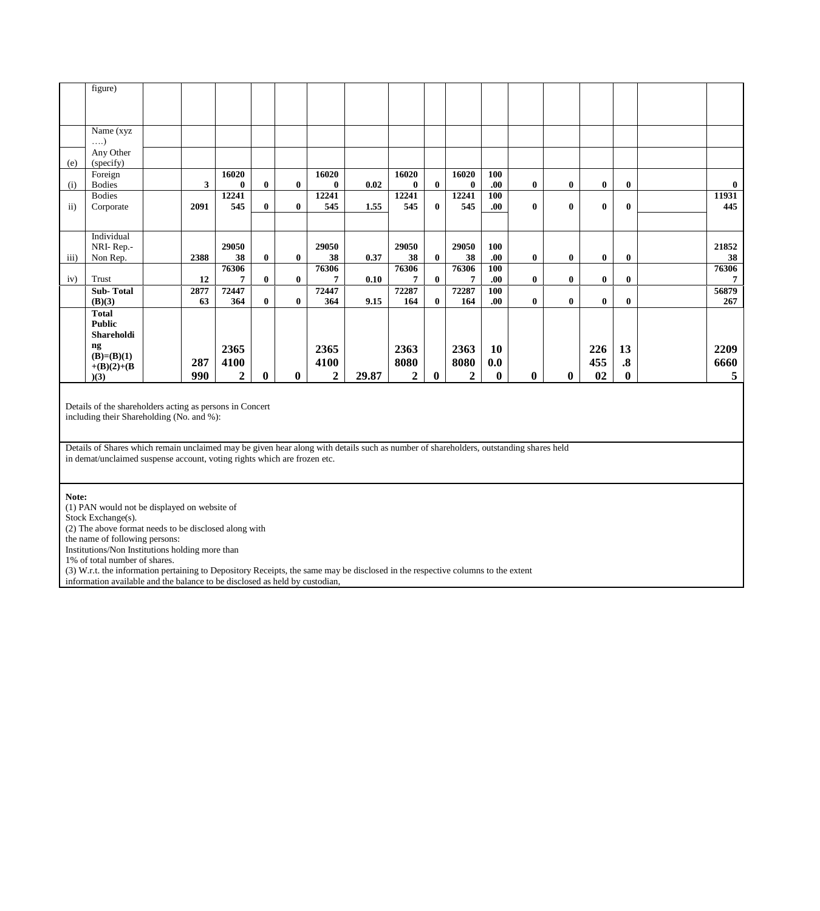|               | figure)               |                |                  |              |              |                  |       |                  |              |              |          |          |              |          |                   |                |
|---------------|-----------------------|----------------|------------------|--------------|--------------|------------------|-------|------------------|--------------|--------------|----------|----------|--------------|----------|-------------------|----------------|
|               |                       |                |                  |              |              |                  |       |                  |              |              |          |          |              |          |                   |                |
|               |                       |                |                  |              |              |                  |       |                  |              |              |          |          |              |          |                   |                |
|               | Name (xyz<br>$\ldots$ |                |                  |              |              |                  |       |                  |              |              |          |          |              |          |                   |                |
|               | Any Other             |                |                  |              |              |                  |       |                  |              |              |          |          |              |          |                   |                |
| (e)           | (specify)             |                |                  |              |              |                  |       |                  |              |              |          |          |              |          |                   |                |
|               | Foreign               |                | 16020            |              |              | 16020            |       | 16020            |              | 16020        | 100      |          |              |          |                   |                |
| (i)           | <b>Bodies</b>         | 3 <sup>1</sup> | $\mathbf{0}$     | $\bf{0}$     | $\bf{0}$     | $\bf{0}$         | 0.02  | $\bf{0}$         | $\mathbf{0}$ | $\bf{0}$     | .00.     | $\bf{0}$ | $\bf{0}$     | $\bf{0}$ | $\bf{0}$          | $\bf{0}$       |
|               | <b>Bodies</b>         |                | 12241            |              |              | 12241            |       | 12241            |              | 12241        | 100      |          |              |          |                   | 11931          |
| $\mathbf{ii}$ | Corporate             | 2091           | 545              | $\bf{0}$     | $\mathbf{0}$ | 545              | 1.55  | 545              | $\mathbf{0}$ | 545          | .00.     | $\bf{0}$ | $\mathbf{0}$ | $\bf{0}$ | $\bf{0}$          | 445            |
|               |                       |                |                  |              |              |                  |       |                  |              |              |          |          |              |          |                   |                |
|               | Individual            |                |                  |              |              |                  |       |                  |              |              |          |          |              |          |                   |                |
|               | NRI-Rep.-             |                | 29050            |              |              | 29050            |       | 29050            |              | 29050        | 100      |          |              |          |                   | 21852          |
| iii)          | Non Rep.              | 2388           | 38               | $\bf{0}$     | $\bf{0}$     | 38               | 0.37  | 38               | $\bf{0}$     | 38           | .00.     | $\bf{0}$ | $\bf{0}$     | $\bf{0}$ | $\bf{0}$          | 38             |
|               |                       |                | 76306            |              |              | 76306            |       | 76306            |              | 76306        | 100      |          |              |          |                   | 76306          |
| iv)           | Trust                 | 12             | 7                | $\bf{0}$     | $\bf{0}$     | 7                | 0.10  | 7                | $\mathbf{0}$ | 7            | .00.     | $\bf{0}$ | $\bf{0}$     | $\bf{0}$ | $\bf{0}$          | $\overline{7}$ |
|               | <b>Sub-Total</b>      | 2877           | 72447            |              |              | 72447            |       | 72287            |              | 72287        | 100      |          |              |          |                   | 56879          |
|               | (B)(3)                | 63             | 364              | $\bf{0}$     | $\bf{0}$     | 364              | 9.15  | 164              | $\mathbf{0}$ | 164          | .00.     | $\bf{0}$ | $\bf{0}$     | $\bf{0}$ | $\bf{0}$          | 267            |
|               | <b>Total</b>          |                |                  |              |              |                  |       |                  |              |              |          |          |              |          |                   |                |
|               | <b>Public</b>         |                |                  |              |              |                  |       |                  |              |              |          |          |              |          |                   |                |
|               | Shareholdi            |                |                  |              |              |                  |       |                  |              |              |          |          |              |          |                   |                |
|               | ng                    |                | 2365             |              |              | 2365             |       | 2363             |              | 2363         | 10       |          |              | 226      | 13                | 2209           |
|               | $(B)=(B)(1)$          | 287            | 4100             |              |              | 4100             |       | 8080             |              | 8080         | 0.0      |          |              | 455      | $\boldsymbol{.8}$ | 6660           |
|               | $+(B)(2)+(B)$         |                |                  |              |              |                  |       |                  |              |              |          |          |              |          |                   |                |
|               | )(3)                  | 990            | $\boldsymbol{2}$ | $\mathbf{0}$ | $\bf{0}$     | $\boldsymbol{2}$ | 29.87 | $\boldsymbol{2}$ | $\bf{0}$     | $\mathbf{2}$ | $\bf{0}$ | $\bf{0}$ | $\bf{0}$     | 02       | $\bf{0}$          | 5              |

Details of the shareholders acting as persons in Concert including their Shareholding (No. and %):

Details of Shares which remain unclaimed may be given hear along with details such as number of shareholders, outstanding shares held in demat/unclaimed suspense account, voting rights which are frozen etc.

**Note:**

(1) PAN would not be displayed on website of

Stock Exchange(s). (2) The above format needs to be disclosed along with

the name of following persons:

Institutions/Non Institutions holding more than

1% of total number of shares.

(3) W.r.t. the information pertaining to Depository Receipts, the same may be disclosed in the respective columns to the extent

information available and the balance to be disclosed as held by custodian,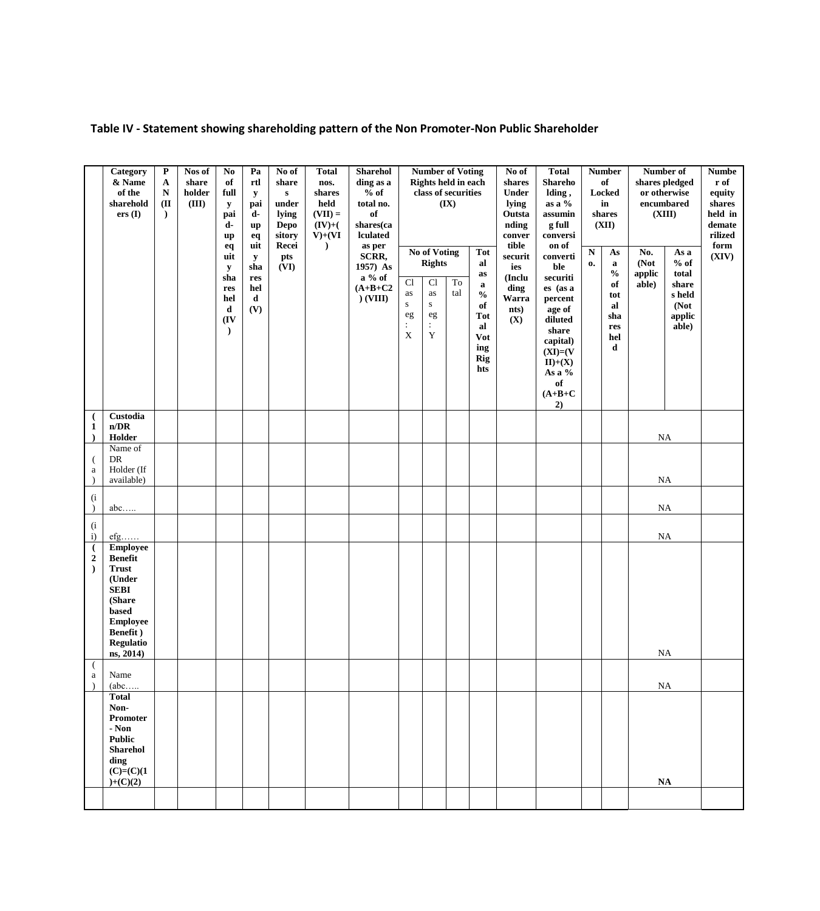**Table IV - Statement showing shareholding pattern of the Non Promoter-Non Public Shareholder**

|                                                                           | Category<br>& Name<br>of the<br>sharehold<br>ers(I)                                                                                                           | $\mathbf P$<br>$\mathbf{A}$<br>${\bf N}$<br>(II)<br>$\lambda$ | Nos of<br>share<br>holder<br>(III) | N <sub>0</sub><br>of<br>full<br>y<br>pai<br>d-<br>up<br>eq            | Pa<br>$^{\rm rtl}$<br>y<br>pai<br>d-<br>up<br>eq<br>uit | No of<br>share<br>${\bf S}$<br>under<br>lying<br>Depo<br>sitory<br>Recei | <b>Total</b><br>nos.<br>shares<br>held<br>$(VII) =$<br>$(IV)+($<br>$V)+(VI)$<br>$\lambda$ | <b>Sharehol</b><br>ding as a<br>$%$ of<br>total no.<br>of<br>shares(ca<br>lculated<br>as per |                                                              | <b>Number of Voting</b><br>Rights held in each<br>class of securities<br><b>No of Voting</b> | (IX)                       | <b>Tot</b>                                                                                     | No of<br>shares<br><b>Under</b><br>lying<br>Outsta<br>nding<br>conver<br>tible | <b>Total</b><br><b>Shareho</b><br>lding,<br>as a $%$<br>assumin<br>g full<br>conversi<br>on of                                                                                  | ${\bf N}$ | <b>Number</b><br>of<br><b>Locked</b><br>in<br>shares<br>(XII)<br>$\mathbf{A}\mathbf{s}$ | Number of<br>No.        | shares pledged<br>or otherwise<br>encumbared<br>(XIII)<br>As a | <b>Numbe</b><br>r of<br>equity<br>shares<br>held in<br>${\bf demate}$<br>rilized<br>form |
|---------------------------------------------------------------------------|---------------------------------------------------------------------------------------------------------------------------------------------------------------|---------------------------------------------------------------|------------------------------------|-----------------------------------------------------------------------|---------------------------------------------------------|--------------------------------------------------------------------------|-------------------------------------------------------------------------------------------|----------------------------------------------------------------------------------------------|--------------------------------------------------------------|----------------------------------------------------------------------------------------------|----------------------------|------------------------------------------------------------------------------------------------|--------------------------------------------------------------------------------|---------------------------------------------------------------------------------------------------------------------------------------------------------------------------------|-----------|-----------------------------------------------------------------------------------------|-------------------------|----------------------------------------------------------------|------------------------------------------------------------------------------------------|
|                                                                           |                                                                                                                                                               |                                                               |                                    | uit<br>$\mathbf y$<br>sha<br>res<br>hel<br>d<br>(IV)<br>$\mathcal{L}$ | ${\bf y}$<br>sha<br>res<br>hel<br>d<br>(V)              | pts<br>(VI)                                                              |                                                                                           | SCRR,<br>1957) As<br>$a\%$ of<br>$(A+B+C2$<br>$)$ (VIII)                                     | C1<br>as<br>${\bf S}$<br>eg<br>$\ddot{\cdot}$<br>$\mathbf X$ | <b>Rights</b><br>Cl<br>as<br>${\bf S}$<br>eg<br>$\ddot{\cdot}$<br>Y                          | $\operatorname{To}$<br>tal | al<br>as<br>$\mathbf a$<br>$\frac{0}{0}$<br>of<br><b>Tot</b><br>al<br>Vot<br>ing<br>Rig<br>hts | securit<br>ies<br>(Inclu<br>ding<br>Warra<br>nts)<br>(X)                       | converti<br>ble<br>securiti<br>es (as a<br>percent<br>age of<br>diluted<br>share<br>capital)<br>$(XI)= (V)$<br>$\mathbf{II}){+}(\mathbf{X})$<br>As a %<br>of<br>$(A+B+C)$<br>2) | 0.        | $\mathbf a$<br>$\frac{0}{0}$<br>of<br>tot<br>al<br>sha<br>res<br>hel<br>d               | (Not<br>applic<br>able) | $%$ of<br>total<br>share<br>s held<br>(Not<br>applic<br>able)  | (XIV)                                                                                    |
| - (<br>$\mathbf{1}$                                                       | Custodia<br>n/DR<br>Holder                                                                                                                                    |                                                               |                                    |                                                                       |                                                         |                                                                          |                                                                                           |                                                                                              |                                                              |                                                                                              |                            |                                                                                                |                                                                                |                                                                                                                                                                                 |           |                                                                                         |                         | $\rm NA$                                                       |                                                                                          |
| - (<br>$\rm{a}$<br>$\lambda$                                              | Name of<br>DR<br>Holder (If<br>available)                                                                                                                     |                                                               |                                    |                                                                       |                                                         |                                                                          |                                                                                           |                                                                                              |                                                              |                                                                                              |                            |                                                                                                |                                                                                |                                                                                                                                                                                 |           |                                                                                         | <b>NA</b>               |                                                                |                                                                                          |
| $(\mathrm{i}% \alpha_{1},\alpha_{2})\in\mathcal{M}_{\alpha}$<br>$\lambda$ | abc                                                                                                                                                           |                                                               |                                    |                                                                       |                                                         |                                                                          |                                                                                           |                                                                                              |                                                              |                                                                                              |                            |                                                                                                |                                                                                |                                                                                                                                                                                 |           |                                                                                         | <b>NA</b>               |                                                                |                                                                                          |
| $(\mathrm{i}% \alpha_{1},\alpha_{2})\in\mathcal{M}_{\mathrm{d}}$<br>i)    | $\mathrm{efg}$                                                                                                                                                |                                                               |                                    |                                                                       |                                                         |                                                                          |                                                                                           |                                                                                              |                                                              |                                                                                              |                            |                                                                                                |                                                                                |                                                                                                                                                                                 |           |                                                                                         | $\rm NA$                |                                                                |                                                                                          |
| $\overline{(\cdot)}$<br>$\mathbf 2$<br>$\lambda$                          | <b>Employee</b><br><b>Benefit</b><br><b>Trust</b><br>(Under<br><b>SEBI</b><br>(Share<br>based<br><b>Employee</b><br>Benefit)<br><b>Regulatio</b><br>ns, 2014) |                                                               |                                    |                                                                       |                                                         |                                                                          |                                                                                           |                                                                                              |                                                              |                                                                                              |                            |                                                                                                |                                                                                |                                                                                                                                                                                 |           |                                                                                         | NA                      |                                                                |                                                                                          |
| - (<br>a                                                                  | Name<br>(abc                                                                                                                                                  |                                                               |                                    |                                                                       |                                                         |                                                                          |                                                                                           |                                                                                              |                                                              |                                                                                              |                            |                                                                                                |                                                                                |                                                                                                                                                                                 |           |                                                                                         | $_{\rm NA}$             |                                                                |                                                                                          |
|                                                                           | <b>Total</b><br>Non-<br>Promoter<br>- Non<br><b>Public</b><br><b>Sharehol</b><br>ding<br>$(C)=(C)(1)$<br>$)+(C)(2)$                                           |                                                               |                                    |                                                                       |                                                         |                                                                          |                                                                                           |                                                                                              |                                                              |                                                                                              |                            |                                                                                                |                                                                                |                                                                                                                                                                                 |           |                                                                                         | <b>NA</b>               |                                                                |                                                                                          |
|                                                                           |                                                                                                                                                               |                                                               |                                    |                                                                       |                                                         |                                                                          |                                                                                           |                                                                                              |                                                              |                                                                                              |                            |                                                                                                |                                                                                |                                                                                                                                                                                 |           |                                                                                         |                         |                                                                |                                                                                          |